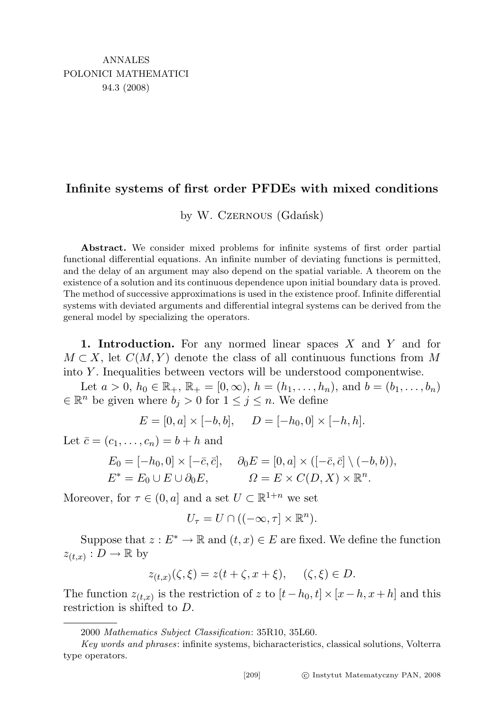## Infinite systems of first order PFDEs with mixed conditions

by W. Czernous (Gdańsk)

Abstract. We consider mixed problems for infinite systems of first order partial functional differential equations. An infinite number of deviating functions is permitted, and the delay of an argument may also depend on the spatial variable. A theorem on the existence of a solution and its continuous dependence upon initial boundary data is proved. The method of successive approximations is used in the existence proof. Infinite differential systems with deviated arguments and differential integral systems can be derived from the general model by specializing the operators.

1. Introduction. For any normed linear spaces  $X$  and  $Y$  and for  $M \subset X$ , let  $C(M, Y)$  denote the class of all continuous functions from M into Y . Inequalities between vectors will be understood componentwise.

Let  $a > 0$ ,  $h_0 \in \mathbb{R}_+$ ,  $\mathbb{R}_+ = [0, \infty)$ ,  $h = (h_1, \ldots, h_n)$ , and  $b = (b_1, \ldots, b_n)$  $\in \mathbb{R}^n$  be given where  $b_j > 0$  for  $1 \leq j \leq n$ . We define

$$
E = [0, a] \times [-b, b], \quad D = [-h_0, 0] \times [-h, h].
$$

Let  $\bar{c} = (c_1, \ldots, c_n) = b + h$  and

$$
E_0 = [-h_0, 0] \times [-\bar{c}, \bar{c}], \quad \partial_0 E = [0, a] \times ([-\bar{c}, \bar{c}] \setminus (-b, b)),
$$
  

$$
E^* = E_0 \cup E \cup \partial_0 E, \qquad \Omega = E \times C(D, X) \times \mathbb{R}^n.
$$

Moreover, for  $\tau \in (0, a]$  and a set  $U \subset \mathbb{R}^{1+n}$  we set

$$
U_{\tau}=U\cap ((-\infty,\tau]\times\mathbb{R}^n).
$$

Suppose that  $z: E^* \to \mathbb{R}$  and  $(t, x) \in E$  are fixed. We define the function  $z_{(t,x)} : D \to \mathbb{R}$  by

$$
z_{(t,x)}(\zeta,\xi) = z(t+\zeta,x+\xi), \quad (\zeta,\xi) \in D.
$$

The function  $z_{(t,x)}$  is the restriction of z to  $[t-h_0, t] \times [x-h, x+h]$  and this restriction is shifted to D.

<sup>2000</sup> Mathematics Subject Classification: 35R10, 35L60.

Key words and phrases: infinite systems, bicharacteristics, classical solutions, Volterra type operators.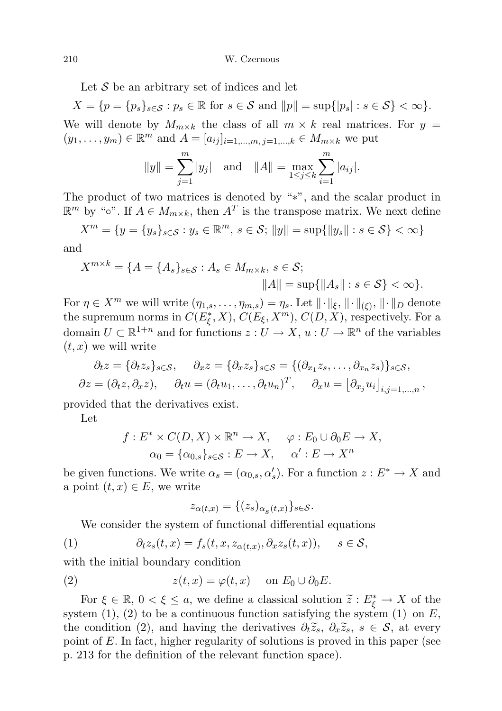Let  $S$  be an arbitrary set of indices and let

 $X = \{p = \{p_s\}_{s \in \mathcal{S}} : p_s \in \mathbb{R} \text{ for } s \in \mathcal{S} \text{ and } ||p|| = \sup\{|p_s| : s \in \mathcal{S}\} < \infty\}.$ We will denote by  $M_{m \times k}$  the class of all  $m \times k$  real matrices. For  $y =$  $(y_1, ..., y_m) \in \mathbb{R}^m$  and  $A = [a_{ij}]_{i=1,...,m, j=1,...,k} \in M_{m \times k}$  we put

$$
||y|| = \sum_{j=1}^{m} |y_j|
$$
 and  $||A|| = \max_{1 \le j \le k} \sum_{i=1}^{m} |a_{ij}|$ .

The product of two matrices is denoted by "∗", and the scalar product in  $\mathbb{R}^m$  by "∘". If  $A \in M_{m \times k}$ , then  $A<sup>T</sup>$  is the transpose matrix. We next define

$$
X^{m} = \{ y = \{ y_{s} \}_{s \in \mathcal{S}} : y_{s} \in \mathbb{R}^{m}, s \in \mathcal{S}; ||y|| = \sup \{ ||y_{s}|| : s \in \mathcal{S} \} < \infty \}
$$

and

$$
X^{m \times k} = \{ A = \{ A_s \}_{s \in \mathcal{S}} : A_s \in M_{m \times k}, \ s \in \mathcal{S};
$$
  

$$
||A|| = \sup \{ ||A_s|| : s \in \mathcal{S} \} < \infty \}.
$$

For  $\eta \in X^m$  we will write  $(\eta_{1,s}, \ldots, \eta_{m,s}) = \eta_s$ . Let  $\|\cdot\|_{\xi}, \|\cdot\|_{(\xi)}, \|\cdot\|_{D}$  denote the supremum norms in  $C(E_{\xi}^*, X), C(E_{\xi}, X^m), C(D, X)$ , respectively. For a domain  $U \subset \mathbb{R}^{1+n}$  and for functions  $z: U \to X$ ,  $u: U \to \mathbb{R}^n$  of the variables  $(t, x)$  we will write

$$
\partial_t z = \{ \partial_t z_s \}_{s \in \mathcal{S}}, \quad \partial_x z = \{ \partial_x z_s \}_{s \in \mathcal{S}} = \{ (\partial_{x_1} z_s, \dots, \partial_{x_n} z_s) \}_{s \in \mathcal{S}},
$$
  

$$
\partial z = (\partial_t z, \partial_x z), \quad \partial_t u = (\partial_t u_1, \dots, \partial_t u_n)^T, \quad \partial_x u = [\partial_{x_j} u_i]_{i,j=1,\dots,n},
$$

provided that the derivatives exist.

Let

$$
f: E^* \times C(D, X) \times \mathbb{R}^n \to X, \quad \varphi: E_0 \cup \partial_0 E \to X, \alpha_0 = {\alpha_{0,s}}_{s \in S} : E \to X, \quad \alpha' : E \to X^n
$$

be given functions. We write  $\alpha_s = (\alpha_{0,s}, \alpha'_s)$ . For a function  $z : E^* \to X$  and a point  $(t, x) \in E$ , we write

$$
z_{\alpha(t,x)} = \{(z_s)_{\alpha_s(t,x)}\}_{s \in \mathcal{S}}.
$$

We consider the system of functional differential equations

(1) 
$$
\partial_t z_s(t,x) = f_s(t,x,z_{\alpha(t,x)},\partial_x z_s(t,x)), \quad s \in \mathcal{S},
$$

with the initial boundary condition

(2) 
$$
z(t,x) = \varphi(t,x) \quad \text{on } E_0 \cup \partial_0 E.
$$

For  $\xi \in \mathbb{R}$ ,  $0 < \xi \le a$ , we define a classical solution  $\tilde{z}: E_{\xi}^* \to X$  of the term (1) (2) to be a continuous function satisfying the system (1) on F system  $(1)$ ,  $(2)$  to be a continuous function satisfying the system  $(1)$  on E, the condition (2), and having the derivatives  $\partial_t \tilde{z}_s, \partial_x \tilde{z}_s, s \in \mathcal{S}$ , at every point of E. In fact, higher regularity of solutions is proved in this paper (see p. 213 for the definition of the relevant function space).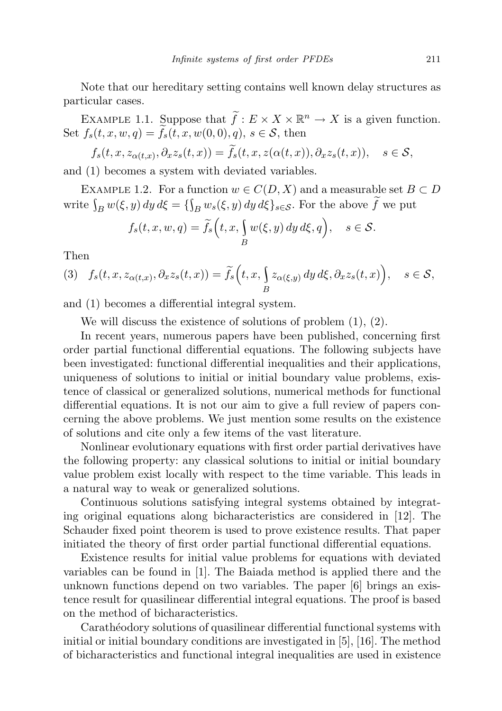Note that our hereditary setting contains well known delay structures as particular cases.

EXAMPLE 1.1. Suppose that  $\widetilde{f}: E \times X \times \mathbb{R}^n \to X$  is a given function. Set  $f_s(t, x, w, q) = \tilde{f}_s(t, x, w(0, 0), q), s \in \mathcal{S}$ , then

$$
f_s(t, x, z_{\alpha(t,x)}, \partial_x z_s(t,x)) = f_s(t, x, z(\alpha(t,x)), \partial_x z_s(t,x)), \quad s \in \mathcal{S},
$$

and (1) becomes a system with deviated variables.

EXAMPLE 1.2. For a function  $w \in C(D, X)$  and a measurable set  $B \subset D$ write  $\int_B w(\xi, y) dy d\xi = \{ \int_B w_s(\xi, y) dy d\xi \}_{s \in S}$ . For the above f we put

$$
f_s(t, x, w, q) = \widetilde{f}_s\Big(t, x, \int_B w(\xi, y) dy d\xi, q\Big), \quad s \in \mathcal{S}.
$$

Then

$$
(3) \quad f_s(t, x, z_{\alpha(t,x)}, \partial_x z_s(t,x)) = \widetilde{f}_s\Big(t, x, \int_B z_{\alpha(\xi,y)} dy \, d\xi, \partial_x z_s(t,x)\Big), \quad s \in \mathcal{S},
$$

and (1) becomes a differential integral system.

We will discuss the existence of solutions of problem (1), (2).

In recent years, numerous papers have been published, concerning first order partial functional differential equations. The following subjects have been investigated: functional differential inequalities and their applications, uniqueness of solutions to initial or initial boundary value problems, existence of classical or generalized solutions, numerical methods for functional differential equations. It is not our aim to give a full review of papers concerning the above problems. We just mention some results on the existence of solutions and cite only a few items of the vast literature.

Nonlinear evolutionary equations with first order partial derivatives have the following property: any classical solutions to initial or initial boundary value problem exist locally with respect to the time variable. This leads in a natural way to weak or generalized solutions.

Continuous solutions satisfying integral systems obtained by integrating original equations along bicharacteristics are considered in [12]. The Schauder fixed point theorem is used to prove existence results. That paper initiated the theory of first order partial functional differential equations.

Existence results for initial value problems for equations with deviated variables can be found in [1]. The Baiada method is applied there and the unknown functions depend on two variables. The paper [6] brings an existence result for quasilinear differential integral equations. The proof is based on the method of bicharacteristics.

Carathéodory solutions of quasilinear differential functional systems with initial or initial boundary conditions are investigated in [5], [16]. The method of bicharacteristics and functional integral inequalities are used in existence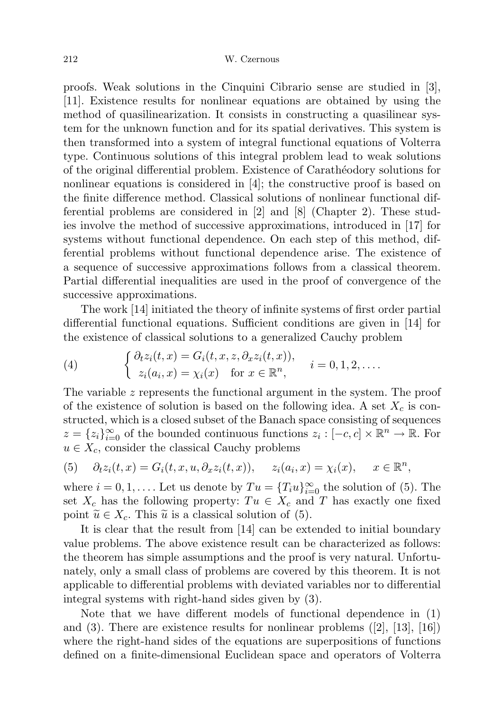proofs. Weak solutions in the Cinquini Cibrario sense are studied in [3], [11]. Existence results for nonlinear equations are obtained by using the method of quasilinearization. It consists in constructing a quasilinear system for the unknown function and for its spatial derivatives. This system is then transformed into a system of integral functional equations of Volterra type. Continuous solutions of this integral problem lead to weak solutions of the original differential problem. Existence of Carath´eodory solutions for nonlinear equations is considered in [4]; the constructive proof is based on the finite difference method. Classical solutions of nonlinear functional differential problems are considered in [2] and [8] (Chapter 2). These studies involve the method of successive approximations, introduced in [17] for systems without functional dependence. On each step of this method, differential problems without functional dependence arise. The existence of a sequence of successive approximations follows from a classical theorem. Partial differential inequalities are used in the proof of convergence of the successive approximations.

The work [14] initiated the theory of infinite systems of first order partial differential functional equations. Sufficient conditions are given in [14] for the existence of classical solutions to a generalized Cauchy problem

(4) 
$$
\begin{cases} \partial_t z_i(t,x) = G_i(t,x,z,\partial_x z_i(t,x)), \\ z_i(a_i,x) = \chi_i(x) \quad \text{for } x \in \mathbb{R}^n, \end{cases} i = 0,1,2,\ldots.
$$

The variable z represents the functional argument in the system. The proof of the existence of solution is based on the following idea. A set  $X_c$  is constructed, which is a closed subset of the Banach space consisting of sequences  $z = \{z_i\}_{i=0}^{\infty}$  of the bounded continuous functions  $z_i : [-c, c] \times \mathbb{R}^n \to \mathbb{R}$ . For  $u \in X_c$ , consider the classical Cauchy problems

(5) 
$$
\partial_t z_i(t, x) = G_i(t, x, u, \partial_x z_i(t, x)), \quad z_i(a_i, x) = \chi_i(x), \quad x \in \mathbb{R}^n
$$

where  $i = 0, 1, \ldots$ . Let us denote by  $Tu = \{T_i u\}_{i=0}^{\infty}$  the solution of (5). The set  $X_c$  has the following property:  $Tu \in X_c$  and T has exactly one fixed point  $\widetilde{u} \in X_c$ . This  $\widetilde{u}$  is a classical solution of (5).

It is clear that the result from [14] can be extended to initial boundary value problems. The above existence result can be characterized as follows: the theorem has simple assumptions and the proof is very natural. Unfortunately, only a small class of problems are covered by this theorem. It is not applicable to differential problems with deviated variables nor to differential integral systems with right-hand sides given by (3).

Note that we have different models of functional dependence in (1) and (3). There are existence results for nonlinear problems  $([2], [13], [16])$ where the right-hand sides of the equations are superpositions of functions defined on a finite-dimensional Euclidean space and operators of Volterra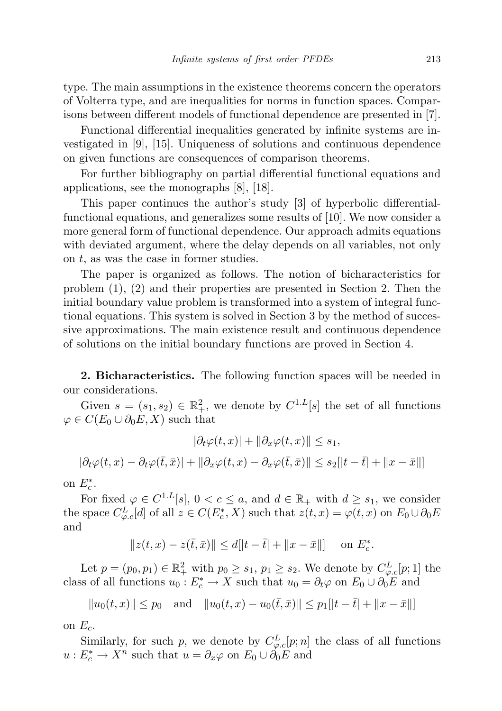type. The main assumptions in the existence theorems concern the operators of Volterra type, and are inequalities for norms in function spaces. Comparisons between different models of functional dependence are presented in [7].

Functional differential inequalities generated by infinite systems are investigated in [9], [15]. Uniqueness of solutions and continuous dependence on given functions are consequences of comparison theorems.

For further bibliography on partial differential functional equations and applications, see the monographs [8], [18].

This paper continues the author's study [3] of hyperbolic differentialfunctional equations, and generalizes some results of [10]. We now consider a more general form of functional dependence. Our approach admits equations with deviated argument, where the delay depends on all variables, not only on  $t$ , as was the case in former studies.

The paper is organized as follows. The notion of bicharacteristics for problem (1), (2) and their properties are presented in Section 2. Then the initial boundary value problem is transformed into a system of integral functional equations. This system is solved in Section 3 by the method of successive approximations. The main existence result and continuous dependence of solutions on the initial boundary functions are proved in Section 4.

2. Bicharacteristics. The following function spaces will be needed in our considerations.

Given  $s = (s_1, s_2) \in \mathbb{R}^2_+$ , we denote by  $C^{1,L}[s]$  the set of all functions  $\varphi \in C(E_0 \cup \partial_0 E, X)$  such that

$$
|\partial_t \varphi(t, x)| + ||\partial_x \varphi(t, x)|| \le s_1,
$$
  

$$
|\partial_t \varphi(t, x) - \partial_t \varphi(\bar{t}, \bar{x})| + ||\partial_x \varphi(t, x) - \partial_x \varphi(\bar{t}, \bar{x})|| \le s_2[|t - \bar{t}| + ||x - \bar{x}||]
$$

on  $E_c^*$ .

For fixed  $\varphi \in C^{1,L}[s], 0 < c \le a$ , and  $d \in \mathbb{R}_+$  with  $d \ge s_1$ , we consider the space  $C_{\varphi,c}^L[d]$  of all  $z \in C(E_c^*, X)$  such that  $z(t,x) = \varphi(t,x)$  on  $E_0 \cup \partial_0 E$ and

$$
||z(t, x) - z(\bar{t}, \bar{x})|| \le d[|t - \bar{t}| + ||x - \bar{x}||] \quad \text{on } E_c^*.
$$

Let  $p = (p_0, p_1) \in \mathbb{R}^2_+$  with  $p_0 \geq s_1, p_1 \geq s_2$ . We denote by  $C^L_{\varphi,c}[p;1]$  the class of all functions  $u_0: E_c^* \to X$  such that  $u_0 = \partial_t \varphi$  on  $E_0 \cup \partial_0 E$  and

$$
||u_0(t,x)|| \le p_0
$$
 and  $||u_0(t,x) - u_0(\bar{t},\bar{x})|| \le p_1[|t-\bar{t}| + ||x-\bar{x}||]$ 

on  $E_c$ .

Similarly, for such p, we denote by  $C_{\varphi,c}^L[p;n]$  the class of all functions  $u: E_c^* \to X^n$  such that  $u = \partial_x \varphi$  on  $E_0 \cup \partial_0 E$  and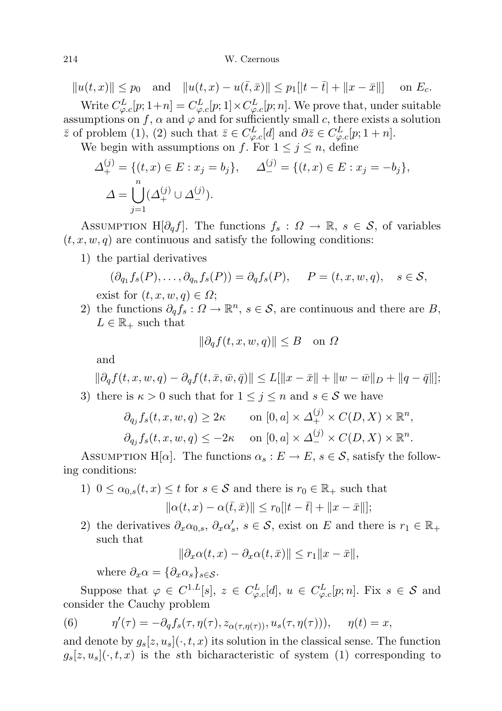## 214 W. Czernous

 $||u(t, x)|| \leq p_0$  and  $||u(t, x) - u(\bar{t}, \bar{x})|| \leq p_1[|t - \bar{t}| + ||x - \bar{x}||]$  on  $E_c$ . Write  $C_{\varphi,c}^L[p;1+n] = C_{\varphi,c}^L[p;1] \times C_{\varphi,c}^L[p;n]$ . We prove that, under suitable assumptions on f,  $\alpha$  and  $\varphi$  and for sufficiently small c, there exists a solution  $\bar{z}$  of problem (1), (2) such that  $\bar{z} \in C^L_{\varphi,c}[d]$  and  $\partial \bar{z} \in C^L_{\varphi,c}[p;1+n]$ .

We begin with assumptions on f. For  $1 \leq j \leq n$ , define

$$
\Delta_+^{(j)} = \{ (t, x) \in E : x_j = b_j \}, \quad \Delta_-^{(j)} = \{ (t, x) \in E : x_j = -b_j \},
$$
  

$$
\Delta = \bigcup_{j=1}^n (\Delta_+^{(j)} \cup \Delta_-^{(j)}).
$$

ASSUMPTION H[ $\partial_q f$ ]. The functions  $f_s: \Omega \to \mathbb{R}, s \in \mathcal{S}$ , of variables  $(t, x, w, q)$  are continuous and satisfy the following conditions:

1) the partial derivatives

$$
(\partial_{q_1} f_s(P), \dots, \partial_{q_n} f_s(P)) = \partial_q f_s(P), \quad P = (t, x, w, q), \quad s \in \mathcal{S},
$$
  
exist for  $(t, x, w, q) \in \Omega$ ;

2) the functions  $\partial_q f_s : \Omega \to \mathbb{R}^n$ ,  $s \in \mathcal{S}$ , are continuous and there are B,  $L \in \mathbb{R}_+$  such that

$$
\|\partial_q f(t, x, w, q)\| \le B \quad \text{on } \Omega
$$

and

$$
\|\partial_q f(t, x, w, q) - \partial_q f(t, \bar{x}, \bar{w}, \bar{q})\| \le L[\|x - \bar{x}\| + \|w - \bar{w}\|_D + \|q - \bar{q}\|];
$$
  
3) there is  $\kappa > 0$  such that for  $1 \le j \le n$  and  $s \in \mathcal{S}$  we have

$$
\partial_{q_j} f_s(t, x, w, q) \ge 2\kappa \qquad \text{on } [0, a] \times \Delta_+^{(j)} \times C(D, X) \times \mathbb{R}^n,
$$
  

$$
\partial_{q_j} f_s(t, x, w, q) \le -2\kappa \qquad \text{on } [0, a] \times \Delta_-^{(j)} \times C(D, X) \times \mathbb{R}^n.
$$

ASSUMPTION H[ $\alpha$ ]. The functions  $\alpha_s : E \to E$ ,  $s \in \mathcal{S}$ , satisfy the following conditions:

- 1)  $0 \leq \alpha_{0,s}(t,x) \leq t$  for  $s \in \mathcal{S}$  and there is  $r_0 \in \mathbb{R}_+$  such that  $\|\alpha(t, x) - \alpha(\bar{t}, \bar{x})\| \leq r_0[|t - \bar{t}| + \|x - \bar{x}\|];$
- 2) the derivatives  $\partial_x \alpha_{0,s}$ ,  $\partial_x \alpha'_s$ ,  $s \in \mathcal{S}$ , exist on E and there is  $r_1 \in \mathbb{R}_+$ such that

$$
\|\partial_x\alpha(t,x)-\partial_x\alpha(t,\bar{x})\| \le r_1\|x-\bar{x}\|,
$$

where  $\partial_x \alpha = {\partial_x \alpha_s}_{s \in S}$ .

Suppose that  $\varphi \in C^{1,L}[s], z \in C^L_{\varphi,c}[d], u \in C^L_{\varphi,c}[p;n].$  Fix  $s \in \mathcal{S}$  and consider the Cauchy problem

(6) 
$$
\eta'(\tau) = -\partial_q f_s(\tau, \eta(\tau), z_{\alpha(\tau, \eta(\tau))}, u_s(\tau, \eta(\tau))), \quad \eta(t) = x,
$$

and denote by  $g_s[z, u_s](\cdot, t, x)$  its solution in the classical sense. The function  $g_s[z, u_s](\cdot, t, x)$  is the sth bicharacteristic of system (1) corresponding to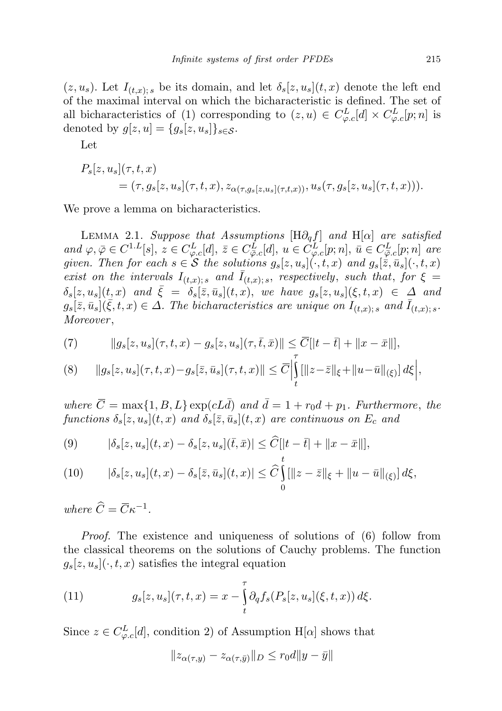$(z, u_s)$ . Let  $I_{(t,x); s}$  be its domain, and let  $\delta_s[z, u_s](t, x)$  denote the left end of the maximal interval on which the bicharacteristic is defined. The set of all bicharacteristics of (1) corresponding to  $(z, u) \in C_{\varphi, c}^{L}[d] \times C_{\varphi, c}^{L}[p; n]$  is denoted by  $g[z, u] = \{g_s[z, u_s]\}_{s \in \mathcal{S}}$ .

Let

$$
P_s[z, u_s](\tau, t, x)
$$
  
=  $(\tau, g_s[z, u_s](\tau, t, x), z_{\alpha(\tau, g_s[z, u_s](\tau, t, x))}, u_s(\tau, g_s[z, u_s](\tau, t, x))).$ 

We prove a lemma on bicharacteristics.

LEMMA 2.1. Suppose that Assumptions  $[H\partial_q f]$  and  $H[\alpha]$  are satisfied and  $\varphi, \overline{\varphi} \in C^{1,L}[s], z \in C^L_{\varphi,c}[d], \overline{z} \in C^L_{\overline{\varphi},c}[d], u \in C^L_{\varphi,c}[p;n], \overline{u} \in C^L_{\overline{\varphi},c}[p;n]$  are given. Then for each  $s \in \mathcal{S}$  the solutions  $g_s[z, u_s](\cdot, t, x)$  and  $g_s[\bar{z}, \bar{u}_s](\cdot, t, x)$ exist on the intervals  $I_{(t,x); s}$  and  $\overline{I}_{(t,x); s}$ , respectively, such that, for  $\xi =$  $\delta_s[z, u_s](t, x)$  and  $\overline{\xi} = \delta_s[\overline{z}, \overline{u}_s](t, x),$  we have  $g_s[z, u_s](\xi, t, x) \in \Delta$  and  $g_s[\bar{z}, \bar{u}_s](\bar{\xi}, t, x) \in \Delta$ . The bicharacteristics are unique on  $I_{(t,x); s}$  and  $\bar{I}_{(t,x); s}$ . Moreover,

(7) 
$$
||g_s[z, u_s](\tau, t, x) - g_s[z, u_s](\tau, \bar{t}, \bar{x})|| \leq \overline{C}[|t - \bar{t}| + ||x - \bar{x}||],
$$

$$
(8) \qquad \|g_{s}[z,u_{s}](\tau,t,x)-g_{s}[\bar{z},\bar{u}_{s}](\tau,t,x)\| \leq \overline{C} \Big|_{t}^{\tau} [\|z-\bar{z}\|_{\xi}+\|u-\bar{u}\|_{(\xi)}] d\xi \Big|,
$$

where  $\overline{C} = \max\{1, B, L\} \exp(cL\overline{d})$  and  $\overline{d} = 1 + r_0d + p_1$ . Furthermore, the functions  $\delta_s[z, u_s](t, x)$  and  $\delta_s[\bar{z}, \bar{u}_s](t, x)$  are continuous on  $E_c$  and

(9) 
$$
|\delta_s[z, u_s](t, x) - \delta_s[z, u_s](\bar{t}, \bar{x})| \leq \widehat{C} [|t - \bar{t}| + ||x - \bar{x}||],
$$

(10) 
$$
|\delta_s[z, u_s](t, x) - \delta_s[\bar{z}, \bar{u}_s](t, x)| \leq \widehat{C} \iint_{0} [||z - \bar{z}||_{\xi} + ||u - \bar{u}||_{(\xi)}] d\xi,
$$

where  $\widehat{C} = \overline{C}\kappa^{-1}$ .

Proof. The existence and uniqueness of solutions of (6) follow from the classical theorems on the solutions of Cauchy problems. The function  $g_s[z, u_s](\cdot, t, x)$  satisfies the integral equation

(11) 
$$
g_s[z, u_s](\tau, t, x) = x - \int_t^{\tau} \partial_q f_s(P_s[z, u_s](\xi, t, x)) d\xi.
$$

Since  $z \in C_{\varphi,c}^{L}[d]$ , condition 2) of Assumption H[ $\alpha$ ] shows that

$$
||z_{\alpha(\tau,y)} - z_{\alpha(\tau,\bar{y})}||_D \le r_0 d||y - \bar{y}||
$$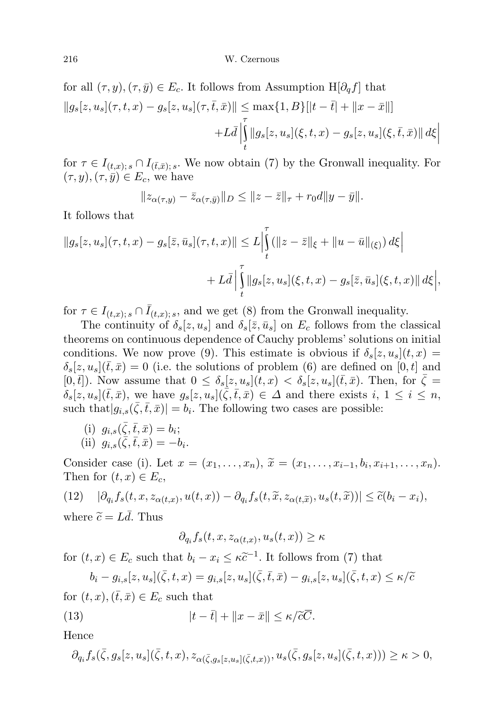for all  $(\tau, y), (\tau, \bar{y}) \in E_c$ . It follows from Assumption H[ $\partial_a f$ ] that  $||g_s[z, u_s](\tau, t, x) - g_s[z, u_s](\tau, \bar{t}, \bar{x})|| \leq \max\{1, B\}[|t - \bar{t}| + ||x - \bar{x}||]$  $+L\bar{d}$ τ t  $||g_s[z, u_s](\xi, t, x) - g_s[z, u_s](\xi, \bar{t}, \bar{x})|| d\xi||$ 

for  $\tau \in I_{(t,x); s} \cap I_{(\bar{t},\bar{x}); s}$ . We now obtain (7) by the Gronwall inequality. For  $(\tau, y), (\tau, \bar{y}) \in E_c$ , we have

$$
||z_{\alpha(\tau,y)} - \bar{z}_{\alpha(\tau,\bar{y})}||_D \le ||z - \bar{z}||_{\tau} + r_0 d||y - \bar{y}||.
$$

It follows that

$$
||g_s[z, u_s](\tau, t, x) - g_s[\bar{z}, \bar{u}_s](\tau, t, x)|| \leq L \Big|_t^{\tau} (||z - \bar{z}||_{\xi} + ||u - \bar{u}||_{(\xi)}) d\xi \Big|
$$
  
+  $L\bar{d} \Big|_t^{\tau} ||g_s[z, u_s](\xi, t, x) - g_s[\bar{z}, \bar{u}_s](\xi, t, x)|| d\xi \Big|,$ 

for  $\tau \in I_{(t,x); s} \cap \overline{I}_{(t,x); s}$ , and we get (8) from the Gronwall inequality.

The continuity of  $\delta_s[z, u_s]$  and  $\delta_s[\bar{z}, \bar{u}_s]$  on  $E_c$  follows from the classical theorems on continuous dependence of Cauchy problems' solutions on initial conditions. We now prove (9). This estimate is obvious if  $\delta_s[z, u_s](t, x) =$  $\delta_s[z, u_s](\bar{t},\bar{x}) = 0$  (i.e. the solutions of problem (6) are defined on [0, t] and  $[0,\bar{t}]$ ). Now assume that  $0 \leq \delta_s[z, u_s](t,x) < \delta_s[z, u_s](\bar{t},\bar{x})$ . Then, for  $\bar{\zeta} =$  $\delta_s[z, u_s](\bar{t},\bar{x})$ , we have  $g_s[z, u_s](\bar{\zeta},\bar{t},\bar{x}) \in \Delta$  and there exists  $i, 1 \leq i \leq n$ , such that  $|g_{i,s}(\bar{\zeta}, \bar{t}, \bar{x})| = b_i$ . The following two cases are possible:

(i)  $g_{i,s}(\bar{\zeta}, \bar{t}, \bar{x}) = b_i;$ (ii)  $g_{i,s}(\bar{\zeta},\bar{t},\bar{x}) = -b_i.$ 

Consider case (i). Let  $x = (x_1, \ldots, x_n)$ ,  $\widetilde{x} = (x_1, \ldots, x_{i-1}, b_i, x_{i+1}, \ldots, x_n)$ .<br>Then for  $(t, x) \in F$ Then for  $(t, x) \in E_c$ ,

$$
(12) \quad |\partial_{q_i} f_s(t, x, z_{\alpha(t, x)}, u(t, x)) - \partial_{q_i} f_s(t, \tilde{x}, z_{\alpha(t, \tilde{x})}, u_s(t, \tilde{x}))| \leq \tilde{c}(b_i - x_i),
$$

where  $\tilde{c} = Ld$ . Thus

$$
\partial_{q_i} f_s(t, x, z_{\alpha(t, x)}, u_s(t, x)) \ge \kappa
$$

for  $(t, x) \in E_c$  such that  $b_i - x_i \leq \kappa \tilde{c}^{-1}$ . It follows from (7) that

$$
b_i - g_{i,s}[z, u_s](\bar{\zeta}, t, x) = g_{i,s}[z, u_s](\bar{\zeta}, \bar{t}, \bar{x}) - g_{i,s}[z, u_s](\bar{\zeta}, t, x) \le \kappa/\widetilde{c}
$$
  
(*t*, *x*)  $(\bar{t}, \bar{x}) \in F$ , such that

for  $(t, x), (t, \bar{x}) \in E_c$  such that

(13) 
$$
|t - \bar{t}| + ||x - \bar{x}|| \le \kappa / \tilde{c}\overline{C}.
$$

Hence

$$
\partial_{q_i} f_s(\bar{\zeta},g_s[z,u_s](\bar{\zeta},t,x),z_{\alpha(\bar{\zeta},g_s[z,u_s](\bar{\zeta},t,x))},u_s(\bar{\zeta},g_s[z,u_s](\bar{\zeta},t,x))) \geq \kappa > 0,
$$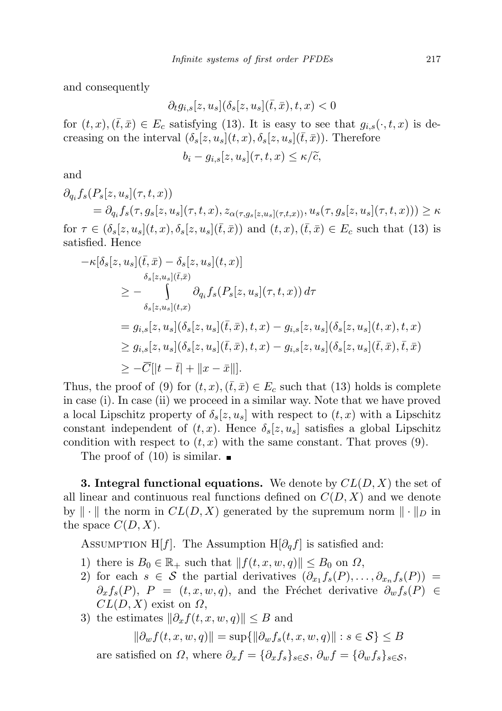and consequently

$$
\partial_t g_{i,s}[z,u_s](\delta_s[z,u_s](\bar{t},\bar{x}),t,x)<0
$$

for  $(t, x), (\bar{t}, \bar{x}) \in E_c$  satisfying (13). It is easy to see that  $g_{i,s}(\cdot, t, x)$  is decreasing on the interval  $(\delta_s[z, u_s](t, x), \delta_s[z, u_s](\bar{t}, \bar{x}))$ . Therefore

$$
b_i - g_{i,s}[z, u_s](\tau, t, x) \le \kappa/\widetilde{c},
$$

and

$$
\partial_{q_i} f_s(P_s[z, u_s](\tau, t, x))
$$
\n
$$
= \partial_{q_i} f_s(\tau, g_s[z, u_s](\tau, t, x), z_{\alpha(\tau, g_s[z, u_s](\tau, t, x))}, u_s(\tau, g_s[z, u_s](\tau, t, x))) \ge \kappa
$$
\nfor  $\tau \in (\delta_s[z, u_s](t, x), \delta_s[z, u_s](\bar{t}, \bar{x}))$  and  $(t, x), (\bar{t}, \bar{x}) \in E_c$  such that (13) is satisfied. Hence

$$
\begin{split}\n&-\kappa[\delta_s[z, u_s](\bar{t}, \bar{x}) - \delta_s[z, u_s](t, x)] \\
&\geq - \int_{\delta_s[z, u_s](\bar{t}, \bar{x})} \partial_{q_i} f_s(P_s[z, u_s](\tau, t, x)) d\tau \\
&= g_{i,s}[z, u_s](\delta_s[z, u_s](\bar{t}, \bar{x}), t, x) - g_{i,s}[z, u_s](\delta_s[z, u_s](t, x), t, x) \\
&\geq g_{i,s}[z, u_s](\delta_s[z, u_s](\bar{t}, \bar{x}), t, x) - g_{i,s}[z, u_s](\delta_s[z, u_s](\bar{t}, \bar{x}), \bar{t}, \bar{x}) \\
&\geq -\overline{C}[|t - \bar{t}| + \|x - \bar{x}\|].\n\end{split}
$$

Thus, the proof of (9) for  $(t, x)$ ,  $(\bar{t}, \bar{x}) \in E_c$  such that (13) holds is complete in case (i). In case (ii) we proceed in a similar way. Note that we have proved a local Lipschitz property of  $\delta_s[z, u_s]$  with respect to  $(t, x)$  with a Lipschitz constant independent of  $(t, x)$ . Hence  $\delta_s[z, u_s]$  satisfies a global Lipschitz condition with respect to  $(t, x)$  with the same constant. That proves (9).

The proof of  $(10)$  is similar.

**3. Integral functional equations.** We denote by  $CL(D, X)$  the set of all linear and continuous real functions defined on  $C(D, X)$  and we denote by  $\|\cdot\|$  the norm in  $CL(D, X)$  generated by the supremum norm  $\|\cdot\|_D$  in the space  $C(D, X)$ .

ASSUMPTION H[f]. The Assumption H $[\partial_q f]$  is satisfied and:

- 1) there is  $B_0 \in \mathbb{R}_+$  such that  $|| f(t, x, w, q)|| \leq B_0$  on  $\Omega$ ,
- 2) for each  $s \in \mathcal{S}$  the partial derivatives  $(\partial_{x_1} f_s(P), \ldots, \partial_{x_n} f_s(P)) =$  $\partial_x f_s(P)$ ,  $P = (t, x, w, q)$ , and the Fréchet derivative  $\partial_w f_s(P) \in$  $CL(D, X)$  exist on  $\Omega$ ,
- 3) the estimates  $\|\partial_x f(t, x, w, q)\| \leq B$  and

$$
\|\partial_w f(t, x, w, q)\| = \sup\{\|\partial_w f_s(t, x, w, q)\| : s \in \mathcal{S}\} \le B
$$

are satisfied on  $\Omega$ , where  $\partial_x f = {\partial_x f_s}_{s \in S}$ ,  $\partial_w f = {\partial_w f_s}_{s \in S}$ ,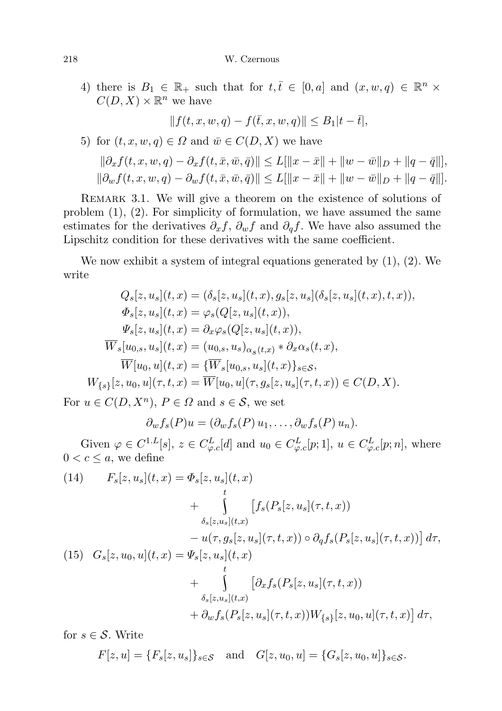4) there is  $B_1 \in \mathbb{R}_+$  such that for  $t, \overline{t} \in [0, a]$  and  $(x, w, q) \in \mathbb{R}^n \times$  $C(D, X) \times \mathbb{R}^n$  we have

$$
||f(t, x, w, q) - f(\bar{t}, x, w, q)|| \leq B_1|t - \bar{t}|,
$$

5) for 
$$
(t, x, w, q) \in \Omega
$$
 and  $\overline{w} \in C(D, X)$  we have

$$
\|\partial_x f(t, x, w, q) - \partial_x f(t, \bar{x}, \bar{w}, \bar{q})\| \le L[\|x - \bar{x}\| + \|w - \bar{w}\|_D + \|q - \bar{q}\|],
$$
  

$$
\|\partial_w f(t, x, w, q) - \partial_w f(t, \bar{x}, \bar{w}, \bar{q})\| \le L[\|x - \bar{x}\| + \|w - \bar{w}\|_D + \|q - \bar{q}\|].
$$

REMARK 3.1. We will give a theorem on the existence of solutions of problem (1), (2). For simplicity of formulation, we have assumed the same estimates for the derivatives  $\partial_x f$ ,  $\partial_w f$  and  $\partial_q f$ . We have also assumed the Lipschitz condition for these derivatives with the same coefficient.

We now exhibit a system of integral equations generated by (1), (2). We write

$$
Q_s[z, u_s](t, x) = (\delta_s[z, u_s](t, x), g_s[z, u_s](\delta_s[z, u_s](t, x), t, x)),
$$
  
\n
$$
\Phi_s[z, u_s](t, x) = \varphi_s(Q[z, u_s](t, x)),
$$
  
\n
$$
\Psi_s[z, u_s](t, x) = \partial_x \varphi_s(Q[z, u_s](t, x)),
$$
  
\n
$$
\overline{W}_s[u_{0,s}, u_s](t, x) = (u_{0,s}, u_s)_{\alpha_s(t, x)} * \partial_x \alpha_s(t, x),
$$
  
\n
$$
\overline{W}[u_0, u](t, x) = \{\overline{W}_s[u_{0,s}, u_s](t, x)\}_{s \in S},
$$
  
\n
$$
W_{\{s\}}[z, u_0, u](\tau, t, x) = \overline{W}[u_0, u](\tau, g_s[z, u_s](\tau, t, x)) \in C(D, X).
$$

For  $u \in C(D, X^n)$ ,  $P \in \Omega$  and  $s \in \mathcal{S}$ , we set

 $\partial_w f_s(P)u = (\partial_w f_s(P) u_1, \ldots, \partial_w f_s(P) u_n).$ 

Given  $\varphi \in C^{1,L}[s], z \in C^L_{\varphi,c}[d]$  and  $u_0 \in C^L_{\varphi,c}[p;1], u \in C^L_{\varphi,c}[p;n],$  where  $0 < c \leq a$ , we define

(14) 
$$
F_s[z, u_s](t, x) = \Phi_s[z, u_s](t, x) + \int_{\delta_s[z, u_s](t, x)} [f_s(P_s[z, u_s](\tau, t, x)) - u(\tau, g_s[z, u_s](\tau, t, x)) \circ \partial_q f_s(P_s[z, u_s](\tau, t, x))] d\tau,
$$
  
(15) 
$$
G_s[z, u_0, u](t, x) = \Psi_s[z, u_s](t, x) + \int_{\delta_s[z, u_s](t, x)} [\partial_x f_s(P_s[z, u_s](\tau, t, x)) + \partial_w f_s(P_s[z, u_s](\tau, t, x)) W_{\{s\}}[z, u_0, u](\tau, t, x)] d\tau,
$$

for  $s \in \mathcal{S}$ . Write

$$
F[z, u] = \{F_s[z, u_s]\}_{s \in \mathcal{S}} \quad \text{and} \quad G[z, u_0, u] = \{G_s[z, u_0, u]\}_{s \in \mathcal{S}}.
$$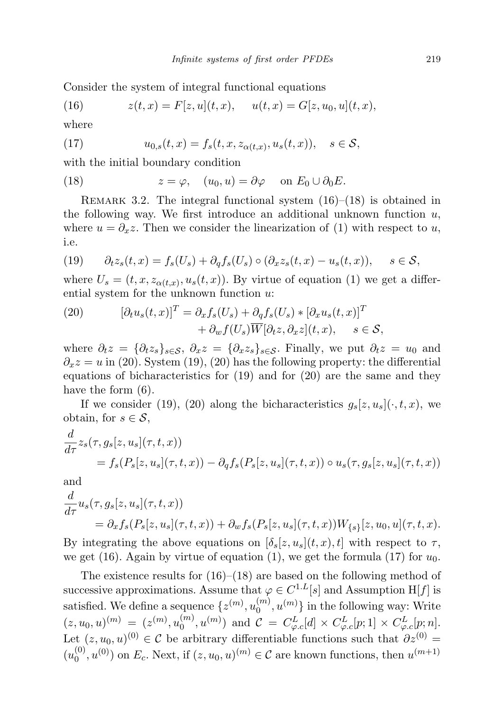Consider the system of integral functional equations

(16) 
$$
z(t,x) = F[z, u](t,x), \quad u(t,x) = G[z, u_0, u](t,x),
$$

where

(17) 
$$
u_{0,s}(t,x) = f_s(t,x,z_{\alpha(t,x)},u_s(t,x)), \quad s \in \mathcal{S},
$$

with the initial boundary condition

(18) 
$$
z = \varphi, \quad (u_0, u) = \partial \varphi \quad \text{on } E_0 \cup \partial_0 E.
$$

REMARK 3.2. The integral functional system  $(16)$ – $(18)$  is obtained in the following way. We first introduce an additional unknown function  $u$ , where  $u = \partial_x z$ . Then we consider the linearization of (1) with respect to u, i.e.

(19) 
$$
\partial_t z_s(t,x) = f_s(U_s) + \partial_q f_s(U_s) \circ (\partial_x z_s(t,x) - u_s(t,x)), \quad s \in \mathcal{S},
$$

where  $U_s = (t, x, z_{\alpha(t,x)}, u_s(t,x))$ . By virtue of equation (1) we get a differential system for the unknown function u:

(20) 
$$
[\partial_t u_s(t,x)]^T = \partial_x f_s(U_s) + \partial_q f_s(U_s) * [\partial_x u_s(t,x)]^T + \partial_w f(U_s) \overline{W}[\partial_t z, \partial_x z](t,x), \quad s \in \mathcal{S},
$$

where  $\partial_t z = \{\partial_t z_s\}_{s \in \mathcal{S}}, \ \partial_x z = \{\partial_x z_s\}_{s \in \mathcal{S}}$ . Finally, we put  $\partial_t z = u_0$  and  $\partial_x z = u$  in (20). System (19), (20) has the following property: the differential equations of bicharacteristics for (19) and for (20) are the same and they have the form (6).

If we consider (19), (20) along the bicharacteristics  $g_s[z, u_s](\cdot, t, x)$ , we obtain, for  $s \in \mathcal{S}$ ,

$$
\frac{d}{d\tau} z_s(\tau, g_s[z, u_s](\tau, t, x))
$$
\n
$$
= f_s(P_s[z, u_s](\tau, t, x)) - \partial_q f_s(P_s[z, u_s](\tau, t, x)) \circ u_s(\tau, g_s[z, u_s](\tau, t, x))
$$

and

$$
\frac{d}{d\tau}u_s(\tau, g_s[z, u_s](\tau, t, x))
$$
\n
$$
= \partial_x f_s(P_s[z, u_s](\tau, t, x)) + \partial_w f_s(P_s[z, u_s](\tau, t, x))W_{\{s\}}[z, u_0, u](\tau, t, x).
$$

By integrating the above equations on  $[\delta_s(z, u_s](t, x), t]$  with respect to  $\tau$ , we get (16). Again by virtue of equation (1), we get the formula (17) for  $u_0$ .

The existence results for  $(16)$ – $(18)$  are based on the following method of successive approximations. Assume that  $\varphi \in C^{1,L}[s]$  and Assumption H[f] is satisfied. We define a sequence  $\{z^{(m)}, u_0^{(m)}\}$  $\binom{m}{0}, u^{(m)}\}$  in the following way: Write  $(z, u_0, u)^{(m)} = (z^{(m)}, u_0^{(m)}$  $O_0^{(m)}, u^{(m)})$  and  $C = C^L_{\varphi,c}[d] \times C^L_{\varphi,c}[p;1] \times C^L_{\varphi,c}[p;n].$ Let  $(z, u_0, u)^{(0)} \in \mathcal{C}$  be arbitrary differentiable functions such that  $\partial z^{(0)} =$  $(u_0^{(0)}$  $\mathcal{O}_0^{(0)}$ ,  $u^{(0)}$ ) on  $E_c$ . Next, if  $(z, u_0, u)^{(m)} \in \mathcal{C}$  are known functions, then  $u^{(m+1)}$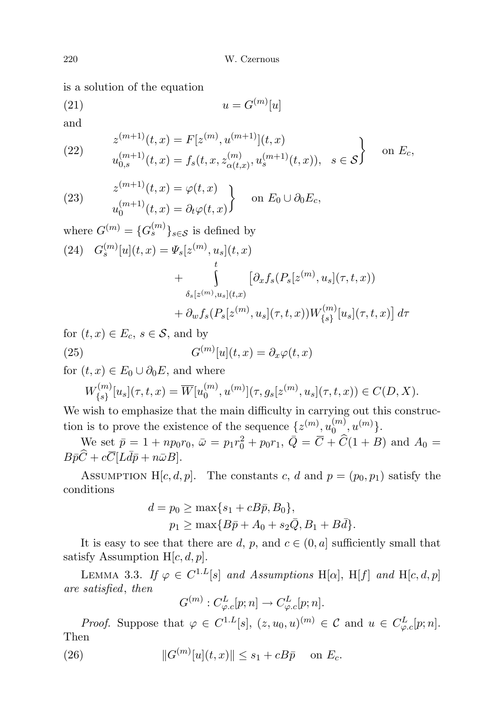is a solution of the equation

$$
(21) \t\t u = G^{(m)}[u]
$$

and

(22) 
$$
z^{(m+1)}(t,x) = F[z^{(m)}, u^{(m+1)}](t,x) u^{(m+1)}_{0,s}(t,x) = f_s(t,x, z^{(m)}_{\alpha(t,x)}, u^{(m+1)}_s(t,x)), \quad s \in \mathcal{S}
$$
 on  $E_c$ ,

(23) 
$$
z^{(m+1)}(t, x) = \varphi(t, x) u_0^{(m+1)}(t, x) = \partial_t \varphi(t, x) \qquad \text{on } E_0 \cup \partial_0 E_c,
$$

where 
$$
G^{(m)} = {G_s^{(m)}}_{s \in S}
$$
 is defined by  
\n(24)  $G_s^{(m)}[u](t, x) = \Psi_s[z^{(m)}, u_s](t, x)$   
\n
$$
+ \int_{\delta_s[z^{(m)}, u_s](t, x)} [\partial_x f_s(P_s[z^{(m)}, u_s](\tau, t, x))
$$
\n
$$
+ \partial_w f_s(P_s[z^{(m)}, u_s](\tau, t, x)) W_{\{s\}}^{(m)}[u_s](\tau, t, x)] d\tau
$$

for  $(t, x) \in E_c$ ,  $s \in \mathcal{S}$ , and by  $(25)$  ${}^{(m)}[u](t,x) = \partial_x \varphi(t,x)$ 

for  $(t, x) \in E_0 \cup \partial_0 E$ , and where

$$
W_{\{s\}}^{(m)}[u_s](\tau,t,x) = \overline{W}[u_0^{(m)}, u^{(m)}](\tau, g_s[z^{(m)}, u_s](\tau,t,x)) \in C(D, X).
$$

We wish to emphasize that the main difficulty in carrying out this construction is to prove the existence of the sequence  $\{z^{(m)}, u_0^{(m)}\}$  $\binom{m}{0}, u^{(m)}$ .

We set  $\bar{p} = 1 + np_0 r_0$ ,  $\bar{\omega} = p_1 r_0^2 + p_0 r_1$ ,  $\bar{Q} = \bar{C} + \hat{C} (1 + B)$  and  $A_0 = \hat{C}$  $B\bar{p}\widehat{C} + c\overline{C}[L\bar{d}\bar{p} + n\bar{\omega}B].$ 

ASSUMPTION H[c, d, p]. The constants c, d and  $p = (p_0, p_1)$  satisfy the conditions

$$
d = p_0 \ge \max\{s_1 + cB\bar{p}, B_0\},
$$
  

$$
p_1 \ge \max\{B\bar{p} + A_0 + s_2\bar{Q}, B_1 + B\bar{d}\}.
$$

It is easy to see that there are d, p, and  $c \in (0, a]$  sufficiently small that satisfy Assumption H[c, d, p].

LEMMA 3.3. If  $\varphi \in C^{1,L}[s]$  and Assumptions H[ $\alpha$ ], H[f] and H[ $c, d, p$ ] are satisfied, then

$$
G^{(m)}: C^L_{\varphi,c}[p;n] \to C^L_{\varphi,c}[p;n].
$$

*Proof.* Suppose that  $\varphi \in C^{1,L}[s], (z, u_0, u)^{(m)} \in \mathcal{C}$  and  $u \in C^L_{\varphi,c}[p;n].$ Then

(26) 
$$
||G^{(m)}[u](t,x)|| \le s_1 + cB\bar{p} \text{ on } E_c.
$$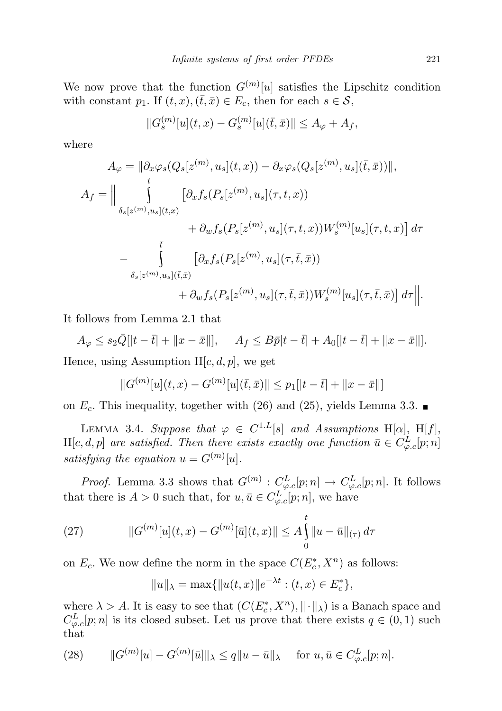We now prove that the function  $G^{(m)}[u]$  satisfies the Lipschitz condition with constant  $p_1$ . If  $(t, x), (\bar{t}, \bar{x}) \in E_c$ , then for each  $s \in \mathcal{S}$ ,

$$
||G_s^{(m)}[u](t,x) - G_s^{(m)}[u](\bar{t},\bar{x})|| \le A_{\varphi} + A_f,
$$

where

$$
A_{\varphi} = \left\| \partial_x \varphi_s(Q_s[z^{(m)}, u_s](t, x)) - \partial_x \varphi_s(Q_s[z^{(m)}, u_s](\bar{t}, \bar{x})) \right\|,
$$
  
\n
$$
A_f = \left\| \int_{\delta_s[z^{(m)}, u_s](t, x)} [\partial_x f_s(P_s[z^{(m)}, u_s](\tau, t, x)) - \partial_y f_s(P_s[z^{(m)}, u_s](\tau, t, x)) W_s^{(m)}[u_s](\tau, t, x)] d\tau \right\|_{\delta_s[z^{(m)}, u_s](\bar{t}, \bar{x})} + \partial_w f_s(P_s[z^{(m)}, u_s](\tau, \bar{t}, \bar{x})) W_s^{(m)}[u_s](\tau, \bar{t}, \bar{x}) d\tau \right\|.
$$

It follows from Lemma 2.1 that

 $A_{\varphi} \leq s_2 \bar{Q} [ |t - \bar{t}| + ||x - \bar{x}||], \quad A_f \leq B \bar{p} |t - \bar{t}| + A_0 [ |t - \bar{t}| + ||x - \bar{x}||].$ Hence, using Assumption  $H[c, d, p]$ , we get

$$
||G^{(m)}[u](t,x) - G^{(m)}[u](\bar{t},\bar{x})|| \leq p_1[|t-\bar{t}| + ||x-\bar{x}||]
$$

on  $E_c$ . This inequality, together with (26) and (25), yields Lemma 3.3.

LEMMA 3.4. Suppose that  $\varphi \in C^{1,L}[s]$  and Assumptions H[ $\alpha$ ], H[f],  $H[c, d, p]$  are satisfied. Then there exists exactly one function  $\bar{u} \in C_{\varphi,c}^L[p; n]$ satisfying the equation  $u = G^{(m)}[u]$ .

*Proof.* Lemma 3.3 shows that  $G^{(m)}: C^L_{\varphi,c}[p;n] \to C^L_{\varphi,c}[p;n]$ . It follows that there is  $A > 0$  such that, for  $u, \bar{u} \in C^L_{\varphi,c}[p;n]$ , we have

(27) 
$$
||G^{(m)}[u](t,x) - G^{(m)}[\bar{u}](t,x)|| \leq A \int_{0}^{t} ||u - \bar{u}||_{(\tau)} d\tau
$$

on  $E_c$ . We now define the norm in the space  $C(E_c^*, X^n)$  as follows:

$$
||u||_{\lambda} = \max{||u(t, x)||e^{-\lambda t} : (t, x) \in E_c^*},
$$

where  $\lambda > A$ . It is easy to see that  $(C(E_c^*, X^n), \|\cdot\|_{\lambda})$  is a Banach space and  $C_{\varphi,c}^{L}[p;n]$  is its closed subset. Let us prove that there exists  $q \in (0,1)$  such that

(28) 
$$
\|G^{(m)}[u] - G^{(m)}[\bar{u}]\|_{\lambda} \le q \|u - \bar{u}\|_{\lambda} \quad \text{for } u, \bar{u} \in C_{\varphi,c}^{L}[p; n].
$$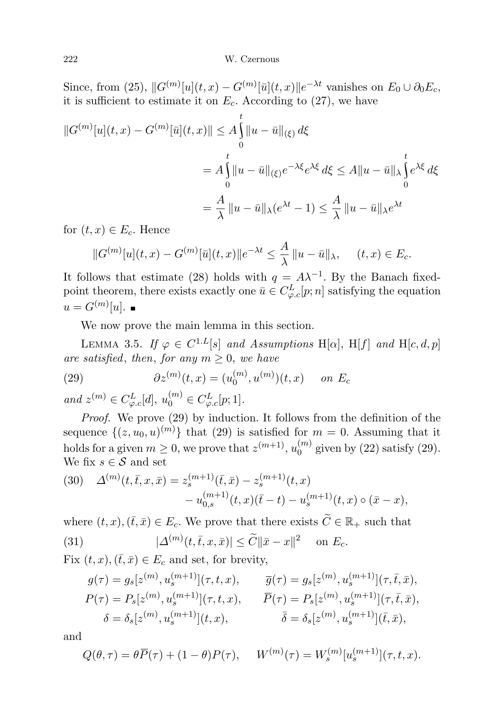Since, from (25),  $||G^{(m)}[u](t,x) - G^{(m)}[\bar{u}](t,x)||e^{-\lambda t}$  vanishes on  $E_0 \cup \partial_0 E_c$ , it is sufficient to estimate it on  $E_c$ . According to (27), we have

$$
||G^{(m)}[u](t,x) - G^{(m)}[\bar{u}](t,x)|| \le A \int_{0}^{t} ||u - \bar{u}||_{(\xi)} d\xi
$$
  
=  $A \int_{0}^{t} ||u - \bar{u}||_{(\xi)} e^{-\lambda \xi} e^{\lambda \xi} d\xi \le A ||u - \bar{u}||_{\lambda} \int_{0}^{t} e^{\lambda \xi} d\xi$   
=  $\frac{A}{\lambda} ||u - \bar{u}||_{\lambda} (e^{\lambda t} - 1) \le \frac{A}{\lambda} ||u - \bar{u}||_{\lambda} e^{\lambda t}$ 

for  $(t, x) \in E_c$ . Hence

$$
||G^{(m)}[u](t,x) - G^{(m)}[\bar{u}](t,x)||e^{-\lambda t} \le \frac{A}{\lambda} ||u - \bar{u}||_{\lambda}, \quad (t,x) \in E_c.
$$

It follows that estimate (28) holds with  $q = A\lambda^{-1}$ . By the Banach fixedpoint theorem, there exists exactly one  $\bar{u} \in C_{\varphi,c}^L[p;n]$  satisfying the equation  $u = G^{(m)}[u].$ 

We now prove the main lemma in this section.

LEMMA 3.5. If  $\varphi \in C^{1,L}[s]$  and Assumptions H[ $\alpha$ ], H[f] and H[ $c, d, p$ ] are satisfied, then, for any  $m > 0$ , we have

(29) 
$$
\partial z^{(m)}(t,x) = (u_0^{(m)}, u^{(m)})(t,x) \quad on \ E_c
$$

and  $z^{(m)} \in C_{\varphi,c}^{L}[d], u_{0}^{(m)} \in C_{\varphi,c}^{L}[p;1].$ 

Proof. We prove (29) by induction. It follows from the definition of the sequence  $\{(z, u_0, u)^{(m)}\}$  that (29) is satisfied for  $m = 0$ . Assuming that it holds for a given  $m \geq 0$ , we prove that  $z^{(m+1)}$ ,  $u_0^{(m)}$  $\binom{m}{0}$  given by (22) satisfy (29). We fix  $s \in \mathcal{S}$  and set

(30) 
$$
\Delta^{(m)}(t, \bar{t}, x, \bar{x}) = z_s^{(m+1)}(\bar{t}, \bar{x}) - z_s^{(m+1)}(t, x) - u_{0,s}^{(m+1)}(t, x)(\bar{t} - t) - u_s^{(m+1)}(t, x) \circ (\bar{x} - x),
$$

where  $(t, x), (\bar{t}, \bar{x}) \in E_c$ . We prove that there exists  $\widetilde{C} \in \mathbb{R}_+$  such that (31)  $|\Delta^{(m)}(t,\bar{t},x,\bar{x})| \leq \tilde{C} ||\bar{x} - x||^2$  on  $E_c$ .

Fix  $(t, x), (\bar{t}, \bar{x}) \in E_c$  and set, for brevity,

$$
g(\tau) = g_s[z^{(m)}, u_s^{(m+1)}](\tau, t, x), \qquad \overline{g}(\tau) = g_s[z^{(m)}, u_s^{(m+1)}](\tau, \overline{t}, \overline{x}),
$$
  
\n
$$
P(\tau) = P_s[z^{(m)}, u_s^{(m+1)}](\tau, t, x), \qquad \overline{P}(\tau) = P_s[z^{(m)}, u_s^{(m+1)}](\tau, \overline{t}, \overline{x}),
$$
  
\n
$$
\delta = \delta_s[z^{(m)}, u_s^{(m+1)}](t, x), \qquad \overline{\delta} = \delta_s[z^{(m)}, u_s^{(m+1)}](\overline{t}, \overline{x}),
$$

and

$$
Q(\theta, \tau) = \theta \overline{P}(\tau) + (1 - \theta)P(\tau), \quad W^{(m)}(\tau) = W_s^{(m)}[u_s^{(m+1)}](\tau, t, x).
$$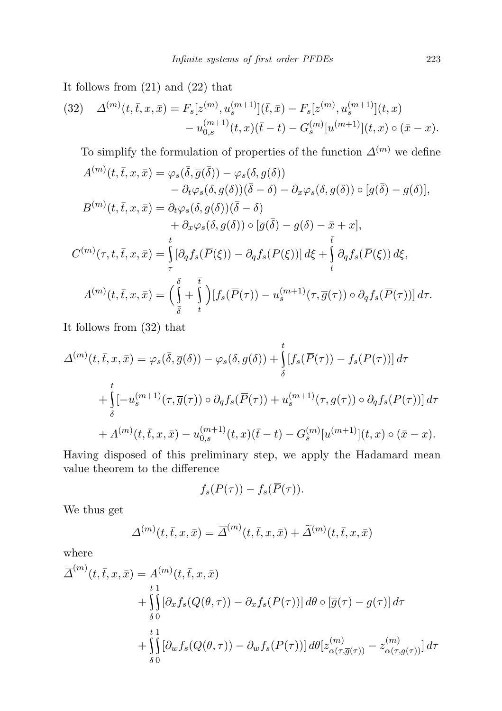It follows from (21) and (22) that

(32) 
$$
\Delta^{(m)}(t,\bar{t},x,\bar{x}) = F_s[z^{(m)},u_s^{(m+1)}](\bar{t},\bar{x}) - F_s[z^{(m)},u_s^{(m+1)}](t,x) - u_{0,s}^{(m+1)}(t,x)(\bar{t}-t) - G_s^{(m)}[u^{(m+1)}](t,x) \circ (\bar{x}-x).
$$

To simplify the formulation of properties of the function  $\Delta^{(m)}$  we define

$$
A^{(m)}(t,\bar{t},x,\bar{x}) = \varphi_s(\bar{\delta},\bar{g}(\bar{\delta})) - \varphi_s(\delta,g(\delta))
$$
  
\n
$$
- \partial_t \varphi_s(\delta,g(\delta))(\bar{\delta} - \delta) - \partial_x \varphi_s(\delta,g(\delta)) \circ [\bar{g}(\bar{\delta}) - g(\delta)],
$$
  
\n
$$
B^{(m)}(t,\bar{t},x,\bar{x}) = \partial_t \varphi_s(\delta,g(\delta))(\bar{\delta} - \delta)
$$
  
\n
$$
+ \partial_x \varphi_s(\delta,g(\delta)) \circ [\bar{g}(\bar{\delta}) - g(\delta) - \bar{x} + x],
$$
  
\n
$$
C^{(m)}(\tau,t,\bar{t},x,\bar{x}) = \int_{\tau}^{t} [\partial_q f_s(\bar{P}(\xi)) - \partial_q f_s(P(\xi))] d\xi + \int_{t}^{\bar{t}} \partial_q f_s(\bar{P}(\xi)) d\xi,
$$
  
\n
$$
A^{(m)}(t,\bar{t},x,\bar{x}) = \left(\int_{\bar{\delta}}^{t} + \int_{t}^{\bar{t}}\right)[f_s(\bar{P}(\tau)) - u_s^{(m+1)}(\tau,\bar{g}(\tau)) \circ \partial_q f_s(\bar{P}(\tau))] d\tau.
$$

It follows from (32) that

$$
\Delta^{(m)}(t,\bar{t},x,\bar{x}) = \varphi_s(\bar{\delta},\bar{g}(\delta)) - \varphi_s(\delta,g(\delta)) + \int_{\delta}^{t} [f_s(\bar{P}(\tau)) - f_s(P(\tau))] d\tau + \int_{\delta}^{t} [-u_s^{(m+1)}(\tau,\bar{g}(\tau)) \circ \partial_q f_s(\bar{P}(\tau)) + u_s^{(m+1)}(\tau,g(\tau)) \circ \partial_q f_s(P(\tau))] d\tau + \Lambda^{(m)}(t,\bar{t},x,\bar{x}) - u_{0,s}^{(m+1)}(t,x)(\bar{t}-t) - G_s^{(m)}[u^{(m+1)}](t,x) \circ (\bar{x}-x).
$$

Having disposed of this preliminary step, we apply the Hadamard mean value theorem to the difference

$$
f_s(P(\tau)) - f_s(\overline{P}(\tau)).
$$

We thus get

$$
\Delta^{(m)}(t,\bar{t},x,\bar{x}) = \overline{\Delta}^{(m)}(t,\bar{t},x,\bar{x}) + \widetilde{\Delta}^{(m)}(t,\bar{t},x,\bar{x})
$$

where

$$
\overline{\Delta}^{(m)}(t,\overline{t},x,\overline{x}) = A^{(m)}(t,\overline{t},x,\overline{x})
$$
\n
$$
+ \iint_{\delta 0} \left[ \partial_x f_s(Q(\theta,\tau)) - \partial_x f_s(P(\tau)) \right] d\theta \circ \left[ \overline{g}(\tau) - g(\tau) \right] d\tau
$$
\n
$$
+ \iint_{\delta 0} \left[ \partial_w f_s(Q(\theta,\tau)) - \partial_w f_s(P(\tau)) \right] d\theta \left[ z^{(m)}_{\alpha(\tau,\overline{g}(\tau))} - z^{(m)}_{\alpha(\tau,g(\tau))} \right] d\tau
$$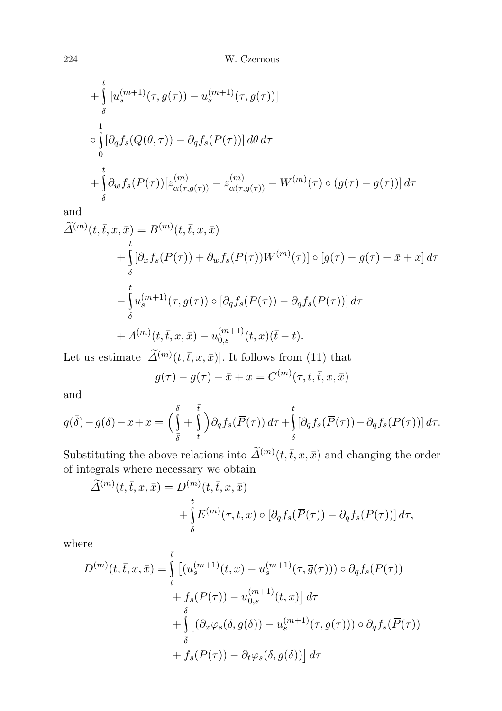+
$$
\int_{\delta}^{t} [u_s^{(m+1)}(\tau, \overline{g}(\tau)) - u_s^{(m+1)}(\tau, g(\tau))]
$$
  
\n
$$
\circ \int_{0}^{1} [\partial_q f_s(Q(\theta, \tau)) - \partial_q f_s(\overline{P}(\tau))] d\theta d\tau
$$
  
\n+
$$
\int_{\delta}^{t} \partial_w f_s(P(\tau)) [z_{\alpha(\tau, \overline{g}(\tau))}^{(m)} - z_{\alpha(\tau, g(\tau))}^{(m)} - W^{(m)}(\tau) \circ (\overline{g}(\tau) - g(\tau))] d\tau
$$

and

$$
\widetilde{\Delta}^{(m)}(t,\bar{t},x,\bar{x}) = B^{(m)}(t,\bar{t},x,\bar{x})
$$
\n
$$
+ \int_{\delta}^{t} \left[ \partial_{x} f_{s}(P(\tau)) + \partial_{w} f_{s}(P(\tau)) W^{(m)}(\tau) \right] \circ \left[ \overline{g}(\tau) - g(\tau) - \bar{x} + x \right] d\tau
$$
\n
$$
- \int_{\delta}^{t} u_{s}^{(m+1)}(\tau, g(\tau)) \circ \left[ \partial_{q} f_{s}(\overline{P}(\tau)) - \partial_{q} f_{s}(P(\tau)) \right] d\tau
$$
\n
$$
+ \Lambda^{(m)}(t,\bar{t},x,\bar{x}) - u_{0,s}^{(m+1)}(t,x)(\bar{t}-t).
$$

Let us estimate  $|\widetilde{\Delta}^{(m)}(t,\bar{t},x,\bar{x})|$ . It follows from (11) that

$$
\overline{g}(\tau) - g(\tau) - \overline{x} + x = C^{(m)}(\tau, t, \overline{t}, x, \overline{x})
$$

and

$$
\overline{g}(\overline{\delta}) - g(\delta) - \overline{x} + x = \left(\int_{\overline{\delta}}^{\delta} + \int_{t}^{\overline{t}} \right) \partial_q f_s(\overline{P}(\tau)) d\tau + \int_{\delta}^{t} \left[ \partial_q f_s(\overline{P}(\tau)) - \partial_q f_s(P(\tau)) \right] d\tau.
$$

Substituting the above relations into  $\widetilde{\Delta}^{(m)}(t,\bar{t},x,\bar{x})$  and changing the order of integrals where necessary we obtain

$$
\widetilde{\Delta}^{(m)}(t,\bar{t},x,\bar{x}) = D^{(m)}(t,\bar{t},x,\bar{x}) \n+ \int_{\delta}^{t} E^{(m)}(\tau,t,x) \circ \left[\partial_{q} f_{s}(\overline{P}(\tau)) - \partial_{q} f_{s}(P(\tau))\right] d\tau,
$$

where

$$
D^{(m)}(t,\bar{t},x,\bar{x}) = \int_{t}^{\bar{t}} \left[ (u_s^{(m+1)}(t,x) - u_s^{(m+1)}(\tau,\overline{g}(\tau))) \circ \partial_q f_s(\overline{P}(\tau)) \right. \\ \left. + f_s(\overline{P}(\tau)) - u_{0,s}^{(m+1)}(t,x) \right] d\tau \\ + \int_{\delta}^{\delta} \left[ (\partial_x \varphi_s(\delta, g(\delta)) - u_s^{(m+1)}(\tau,\overline{g}(\tau))) \circ \partial_q f_s(\overline{P}(\tau)) \right. \\ \left. + f_s(\overline{P}(\tau)) - \partial_t \varphi_s(\delta, g(\delta)) \right] d\tau
$$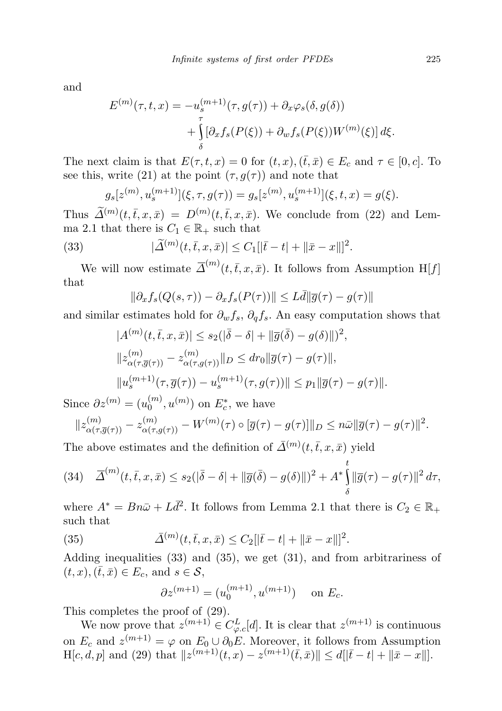and

$$
E^{(m)}(\tau, t, x) = -u_s^{(m+1)}(\tau, g(\tau)) + \partial_x \varphi_s(\delta, g(\delta))
$$
  
+ 
$$
\int_{\delta}^{\tau} [\partial_x f_s(P(\xi)) + \partial_w f_s(P(\xi)) W^{(m)}(\xi)] d\xi.
$$

The next claim is that  $E(\tau, t, x) = 0$  for  $(t, x), (\bar{t}, \bar{x}) \in E_c$  and  $\tau \in [0, c]$ . To see this, write (21) at the point  $(\tau, g(\tau))$  and note that

$$
g_s[z^{(m)}, u_s^{(m+1)}](\xi, \tau, g(\tau)) = g_s[z^{(m)}, u_s^{(m+1)}](\xi, t, x) = g(\xi).
$$

Thus  $\widetilde{\Delta}^{(m)}(t,\bar{t},x,\bar{x}) = D^{(m)}(t,\bar{t},x,\bar{x})$ . We conclude from (22) and Lemma 2.1 that there is  $C_1 \in \mathbb{R}_+$  such that

(33) 
$$
|\widetilde{\Delta}^{(m)}(t,\bar{t},x,\bar{x})| \leq C_1[|\bar{t}-t|+||\bar{x}-x||]^2.
$$

We will now estimate  $\overline{\Delta}^{(m)}(t,\overline{t},x,\overline{x})$ . It follows from Assumption H[f] that

$$
\|\partial_x f_s(Q(s,\tau)) - \partial_x f_s(P(\tau))\| \le L\bar{d} \|\overline{g}(\tau) - g(\tau)\|
$$

and similar estimates hold for  $\partial_w f_s$ ,  $\partial_q f_s$ . An easy computation shows that

$$
|A^{(m)}(t,\bar{t},x,\bar{x})| \leq s_2(|\bar{\delta}-\delta|+||\bar{g}(\bar{\delta})-g(\delta)||)^2,
$$
  

$$
||z^{(m)}_{\alpha(\tau,\bar{g}(\tau))}-z^{(m)}_{\alpha(\tau,g(\tau))}||_D \leq dr_0||\bar{g}(\tau)-g(\tau)||,
$$
  

$$
||u_s^{(m+1)}(\tau,\bar{g}(\tau))-u_s^{(m+1)}(\tau,g(\tau))|| \leq p_1||\bar{g}(\tau)-g(\tau)||.
$$

Since  $\partial z^{(m)} = (u_0^{(m)})$  $\binom{m}{0}, u^{(m)}$  on  $E_c^*$ , we have

$$
||z_{\alpha(\tau,\overline{g}(\tau))}^{(m)} - z_{\alpha(\tau,g(\tau))}^{(m)} - W^{(m)}(\tau) \circ [\overline{g}(\tau) - g(\tau)]||_D \leq n\overline{\omega} ||\overline{g}(\tau) - g(\tau)||^2.
$$

The above estimates and the definition of  $\bar{\Delta}^{(m)}(t,\bar{t},x,\bar{x})$  yield

(34) 
$$
\overline{\Delta}^{(m)}(t,\overline{t},x,\overline{x}) \leq s_2(|\overline{\delta}-\delta|+||\overline{g}(\overline{\delta})-g(\delta)||)^2 + A^* \int_{\delta}^{t} ||\overline{g}(\tau)-g(\tau)||^2 d\tau,
$$

where  $A^* = Bn\bar{\omega} + L\bar{d}^2$ . It follows from Lemma 2.1 that there is  $C_2 \in \mathbb{R}_+$ such that

(35) 
$$
\bar{\Delta}^{(m)}(t,\bar{t},x,\bar{x}) \leq C_2[|\bar{t}-t|+||\bar{x}-x||]^2.
$$

Adding inequalities (33) and (35), we get (31), and from arbitrariness of  $(t, x), (\bar{t}, \bar{x}) \in E_c$ , and  $s \in \mathcal{S}$ ,

$$
\partial z^{(m+1)} = (u_0^{(m+1)}, u^{(m+1)}) \quad \text{on } E_c.
$$

This completes the proof of (29).

We now prove that  $z^{(m+1)} \in C_{\varphi,c}^L[d]$ . It is clear that  $z^{(m+1)}$  is continuous on  $E_c$  and  $z^{(m+1)} = \varphi$  on  $E_0 \cup \partial_0 E$ . Moreover, it follows from Assumption  $H[c, d, p]$  and (29) that  $||z^{(m+1)}(t, x) - z^{(m+1)}(\bar{t}, \bar{x})|| \le d||\bar{t} - t| + ||\bar{x} - x||$ .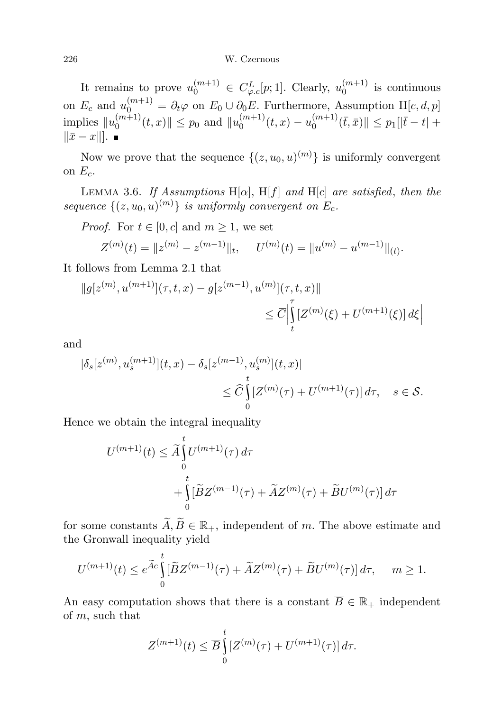It remains to prove  $u_0^{(m+1)} \in C_{\varphi,c}^L[p;1]$ . Clearly,  $u_0^{(m+1)}$  $\binom{m+1}{0}$  is continuous on  $E_c$  and  $u_0^{(m+1)} = \partial_t \varphi$  on  $E_0 \cup \partial_0 E$ . Furthermore, Assumption H[c, d, p] implies  $||u_0^{(m+1)}||$  $\|v_0^{(m+1)}(t,x)\| \leq p_0$  and  $\|u_0^{(m+1)}\|$  $u_0^{(m+1)}(t,x) - u_0^{(m+1)}$  $\|v_0^{(m+1)}(\bar{t},\bar{x})\| \leq p_1[|\bar{t}-t| +$  $\|\bar{x} - x\|$ . ■

Now we prove that the sequence  $\{(z, u_0, u)^{(m)}\}$  is uniformly convergent on  $E_c$ .

LEMMA 3.6. If Assumptions  $H[\alpha]$ ,  $H[f]$  and  $H[c]$  are satisfied, then the sequence  $\{(z, u_0, u)^{(m)}\}$  is uniformly convergent on  $E_c$ .

*Proof.* For  $t \in [0, c]$  and  $m \geq 1$ , we set

$$
Z^{(m)}(t) = \|z^{(m)} - z^{(m-1)}\|_t, \quad U^{(m)}(t) = \|u^{(m)} - u^{(m-1)}\|_{(t)}.
$$

It follows from Lemma 2.1 that

$$
||g[z^{(m)}, u^{(m+1)}](\tau, t, x) - g[z^{(m-1)}, u^{(m)}](\tau, t, x)||
$$
  

$$
\leq \overline{C} \Big|_t^{\tau} [Z^{(m)}(\xi) + U^{(m+1)}(\xi)] d\xi \Big|
$$

and

$$
\begin{aligned} |\delta_s[z^{(m)}, u_s^{(m+1)}](t,x) - \delta_s[z^{(m-1)}, u_s^{(m)}](t,x)| \\ &\leq \widehat{C} \int_0^t [Z^{(m)}(\tau) + U^{(m+1)}(\tau)] \, d\tau, \quad s \in \mathcal{S}. \end{aligned}
$$

Hence we obtain the integral inequality

$$
U^{(m+1)}(t) \leq \widetilde{A} \int_{0}^{t} U^{(m+1)}(\tau) d\tau
$$
  
+ 
$$
\int_{0}^{t} [\widetilde{B}Z^{(m-1)}(\tau) + \widetilde{A}Z^{(m)}(\tau) + \widetilde{B}U^{(m)}(\tau)] d\tau
$$

for some constants  $\widetilde{A}, \widetilde{B} \in \mathbb{R}_+$ , independent of m. The above estimate and the Gronwall inequality yield

$$
U^{(m+1)}(t) \le e^{\widetilde{A}c} \int_{0}^{t} [\widetilde{B}Z^{(m-1)}(\tau) + \widetilde{A}Z^{(m)}(\tau) + \widetilde{B}U^{(m)}(\tau)] d\tau, \quad m \ge 1.
$$

An easy computation shows that there is a constant  $\overline{B} \in \mathbb{R}_+$  independent of m, such that

$$
Z^{(m+1)}(t) \le \overline{B} \int_{0}^{t} \left[ Z^{(m)}(\tau) + U^{(m+1)}(\tau) \right] d\tau.
$$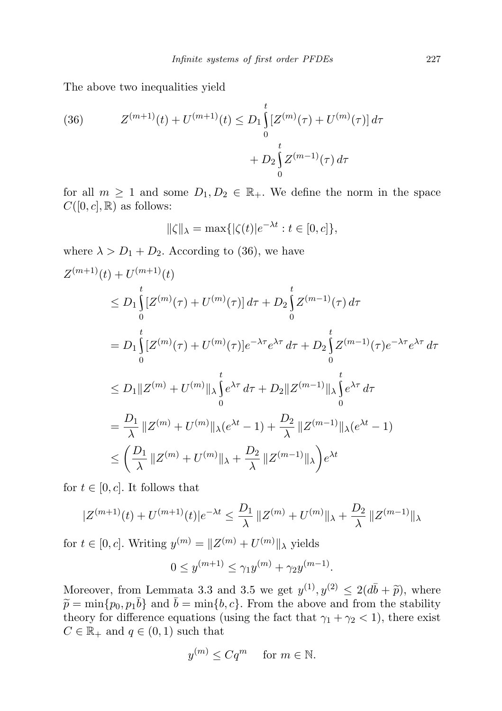The above two inequalities yield

(36) 
$$
Z^{(m+1)}(t) + U^{(m+1)}(t) \leq D_1 \int_0^t [Z^{(m)}(\tau) + U^{(m)}(\tau)] d\tau + D_2 \int_0^t Z^{(m-1)}(\tau) d\tau
$$

for all  $m \geq 1$  and some  $D_1, D_2 \in \mathbb{R}_+$ . We define the norm in the space  $C([0, c], \mathbb{R})$  as follows:

$$
\|\zeta\|_{\lambda} = \max\{|\zeta(t)|e^{-\lambda t} : t \in [0, c]\},\
$$

where  $\lambda > D_1 + D_2$ . According to (36), we have

$$
Z^{(m+1)}(t) + U^{(m+1)}(t)
$$
  
\n
$$
\leq D_1 \int_{0}^{t} [Z^{(m)}(\tau) + U^{(m)}(\tau)] d\tau + D_2 \int_{0}^{t} Z^{(m-1)}(\tau) d\tau
$$
  
\n
$$
= D_1 \int_{0}^{t} [Z^{(m)}(\tau) + U^{(m)}(\tau)] e^{-\lambda \tau} e^{\lambda \tau} d\tau + D_2 \int_{0}^{t} Z^{(m-1)}(\tau) e^{-\lambda \tau} e^{\lambda \tau} d\tau
$$
  
\n
$$
\leq D_1 ||Z^{(m)} + U^{(m)}||_{\lambda} \int_{0}^{t} e^{\lambda \tau} d\tau + D_2 ||Z^{(m-1)}||_{\lambda} \int_{0}^{t} e^{\lambda \tau} d\tau
$$
  
\n
$$
= \frac{D_1}{\lambda} ||Z^{(m)} + U^{(m)}||_{\lambda} (e^{\lambda t} - 1) + \frac{D_2}{\lambda} ||Z^{(m-1)}||_{\lambda} (e^{\lambda t} - 1)
$$
  
\n
$$
\leq \left( \frac{D_1}{\lambda} ||Z^{(m)} + U^{(m)}||_{\lambda} + \frac{D_2}{\lambda} ||Z^{(m-1)}||_{\lambda} \right) e^{\lambda t}
$$

for  $t \in [0, c]$ . It follows that

$$
|Z^{(m+1)}(t) + U^{(m+1)}(t)|e^{-\lambda t} \le \frac{D_1}{\lambda} ||Z^{(m)} + U^{(m)}||_{\lambda} + \frac{D_2}{\lambda} ||Z^{(m-1)}||_{\lambda}
$$

for  $t \in [0, c]$ . Writing  $y^{(m)} = ||Z^{(m)} + U^{(m)}||$ <sub> $\lambda$ </sub> yields

$$
0 \le y^{(m+1)} \le \gamma_1 y^{(m)} + \gamma_2 y^{(m-1)}.
$$

Moreover, from Lemmata 3.3 and 3.5 we get  $y^{(1)}, y^{(2)} \le 2(d\bar{b} + \tilde{p})$ , where  $\tilde{p} = \min\{p_0, p, \bar{b}\}$  and  $\bar{b} = \min\{b, c\}$ . From the above and from the stability  $\widetilde{p} = \min\{p_0, p_1\overline{b}\}\$  and  $\overline{b} = \min\{b, c\}$ . From the above and from the stability theory for difference equations (using the fact that  $\gamma_1 + \gamma_2 < 1$ ), there exist  $C \in \mathbb{R}_+$  and  $q \in (0,1)$  such that

$$
y^{(m)} \le Cq^m \quad \text{ for } m \in \mathbb{N}.
$$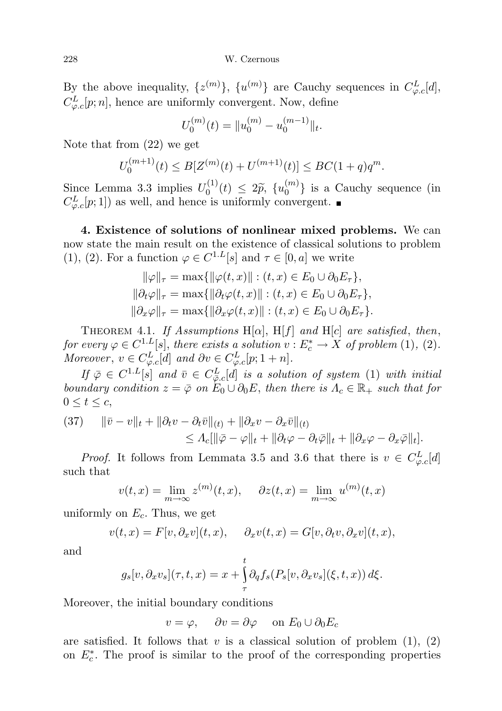228 W. Czernous

By the above inequality,  $\{z^{(m)}\}, \{u^{(m)}\}$  are Cauchy sequences in  $C_{\varphi,c}^L[d]$ ,  $C_{\varphi,c}^L[p;n]$ , hence are uniformly convergent. Now, define

$$
U_0^{(m)}(t) = ||u_0^{(m)} - u_0^{(m-1)}||_t.
$$

Note that from (22) we get

$$
U_0^{(m+1)}(t) \le B[Z^{(m)}(t) + U^{(m+1)}(t)] \le BC(1+q)q^m.
$$

Since Lemma 3.3 implies  $U_0^{(1)}$  $\tilde{v}_0^{(1)}(t) \leq 2\tilde{p}, \{u_0^{(m)}\}$  $\binom{m}{0}$  is a Cauchy sequence (in  $C_{\varphi,c}^{L}[p;1]$  as well, and hence is uniformly convergent.

4. Existence of solutions of nonlinear mixed problems. We can now state the main result on the existence of classical solutions to problem (1), (2). For a function  $\varphi \in C^{1,L}[s]$  and  $\tau \in [0,a]$  we write

$$
\|\varphi\|_{\tau} = \max\{\|\varphi(t, x)\| : (t, x) \in E_0 \cup \partial_0 E_{\tau}\},
$$
  

$$
\|\partial_t \varphi\|_{\tau} = \max\{\|\partial_t \varphi(t, x)\| : (t, x) \in E_0 \cup \partial_0 E_{\tau}\},
$$
  

$$
\|\partial_x \varphi\|_{\tau} = \max\{\|\partial_x \varphi(t, x)\| : (t, x) \in E_0 \cup \partial_0 E_{\tau}\}.
$$

THEOREM 4.1. If Assumptions  $H[\alpha]$ ,  $H[f]$  and  $H[c]$  are satisfied, then, for every  $\varphi \in C^{1,L}[s]$ , there exists a solution  $v : E_c^* \to X$  of problem (1), (2). Moreover,  $v \in C_{\varphi,c}^L[d]$  and  $\partial v \in C_{\varphi,c}^L[p;1+n]$ .

If  $\bar{\varphi} \in C^{1,L}[s]$  and  $\bar{v} \in C^L_{\bar{\varphi},c}[d]$  is a solution of system (1) with initial boundary condition  $z = \overline{\varphi}$  on  $E_0 \cup \partial_0 E$ , then there is  $\Lambda_c \in \mathbb{R}_+$  such that for  $0 \leq t \leq c$ 

(37) 
$$
\|\bar{v} - v\|_{t} + \|\partial_t v - \partial_t \bar{v}\|_{(t)} + \|\partial_x v - \partial_x \bar{v}\|_{(t)} \leq \Lambda_c [\|\bar{\varphi} - \varphi\|_{t} + \|\partial_t \varphi - \partial_t \bar{\varphi}\|_{t} + \|\partial_x \varphi - \partial_x \bar{\varphi}\|_{t}].
$$

*Proof.* It follows from Lemmata 3.5 and 3.6 that there is  $v \in C_{\varphi,c}^L[d]$ such that

$$
v(t,x) = \lim_{m \to \infty} z^{(m)}(t,x), \quad \partial z(t,x) = \lim_{m \to \infty} u^{(m)}(t,x)
$$

uniformly on  $E_c$ . Thus, we get

$$
v(t,x) = F[v, \partial_x v](t,x), \quad \partial_x v(t,x) = G[v, \partial_t v, \partial_x v](t,x),
$$

and

$$
g_s[v, \partial_x v_s](\tau, t, x) = x + \int_{\tau}^t \partial_q f_s(P_s[v, \partial_x v_s](\xi, t, x)) d\xi.
$$

Moreover, the initial boundary conditions

$$
v = \varphi, \quad \partial v = \partial \varphi \quad \text{on } E_0 \cup \partial_0 E_c
$$

are satisfied. It follows that v is a classical solution of problem  $(1), (2)$ on  $E_c^*$ . The proof is similar to the proof of the corresponding properties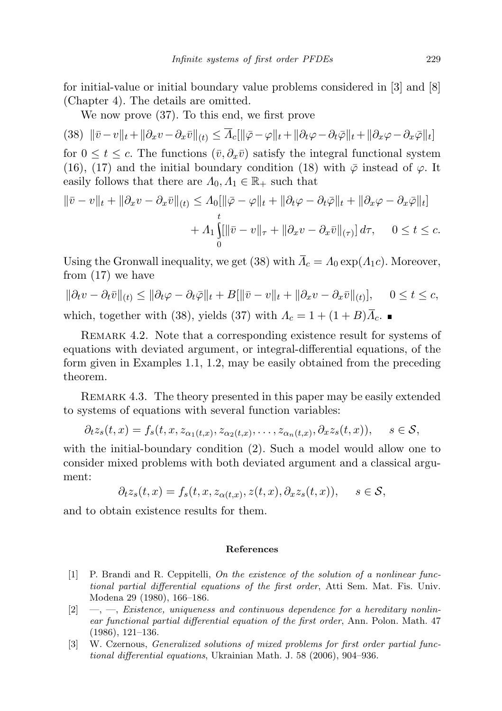for initial-value or initial boundary value problems considered in [3] and [8] (Chapter 4). The details are omitted.

We now prove (37). To this end, we first prove

 $(38)\ \ \|\bar{v}-v\|_t + \|\partial_x v - \partial_x \bar{v}\|_{(t)} \leq \Lambda_c[\|\bar{\varphi}-\varphi\|_t + \|\partial_t \varphi - \partial_t \bar{\varphi}\|_t + \|\partial_x \varphi - \partial_x \bar{\varphi}\|_t]$ 

for  $0 \le t \le c$ . The functions  $(\bar{v}, \partial_x \bar{v})$  satisfy the integral functional system (16), (17) and the initial boundary condition (18) with  $\bar{\varphi}$  instead of  $\varphi$ . It easily follows that there are  $\Lambda_0, \Lambda_1 \in \mathbb{R}_+$  such that

$$
\|\bar{v} - v\|_{t} + \|\partial_x v - \partial_x \bar{v}\|_{(t)} \le A_0[\|\bar{\varphi} - \varphi\|_{t} + \|\partial_t \varphi - \partial_t \bar{\varphi}\|_{t} + \|\partial_x \varphi - \partial_x \bar{\varphi}\|_{t}] + A_1 \iiint\limits_{0}^{t} \|\bar{v} - v\|_{\tau} + \|\partial_x v - \partial_x \bar{v}\|_{(\tau)}\, d\tau, \quad 0 \le t \le c.
$$

Using the Gronwall inequality, we get (38) with  $\overline{A}_c = A_0 \exp(A_1 c)$ . Moreover, from (17) we have

$$
\|\partial_t v - \partial_t \bar{v}\|_{(t)} \le \|\partial_t \varphi - \partial_t \bar{\varphi}\|_{t} + B[\|\bar{v} - v\|_{t} + \|\partial_x v - \partial_x \bar{v}\|_{(t)}], \quad 0 \le t \le c,
$$

which, together with (38), yields (37) with  $\Lambda_c = 1 + (1 + B)\Lambda_c$ .

Remark 4.2. Note that a corresponding existence result for systems of equations with deviated argument, or integral-differential equations, of the form given in Examples 1.1, 1.2, may be easily obtained from the preceding theorem.

Remark 4.3. The theory presented in this paper may be easily extended to systems of equations with several function variables:

$$
\partial_t z_s(t,x) = f_s(t,x,z_{\alpha_1(t,x)},z_{\alpha_2(t,x)},\ldots,z_{\alpha_n(t,x)},\partial_x z_s(t,x)), \quad s \in \mathcal{S},
$$

with the initial-boundary condition (2). Such a model would allow one to consider mixed problems with both deviated argument and a classical argument:

$$
\partial_t z_s(t,x) = f_s(t,x,z_{\alpha(t,x)},z(t,x),\partial_x z_s(t,x)), \quad s \in \mathcal{S},
$$

and to obtain existence results for them.

## References

- [1] P. Brandi and R. Ceppitelli, On the existence of the solution of a nonlinear functional partial differential equations of the first order, Atti Sem. Mat. Fis. Univ. Modena 29 (1980), 166–186.
- $[2] \quad -,-$ , Existence, uniqueness and continuous dependence for a hereditary nonlinear functional partial differential equation of the first order, Ann. Polon. Math. 47 (1986), 121–136.
- [3] W. Czernous, Generalized solutions of mixed problems for first order partial functional differential equations, Ukrainian Math. J. 58 (2006), 904–936.